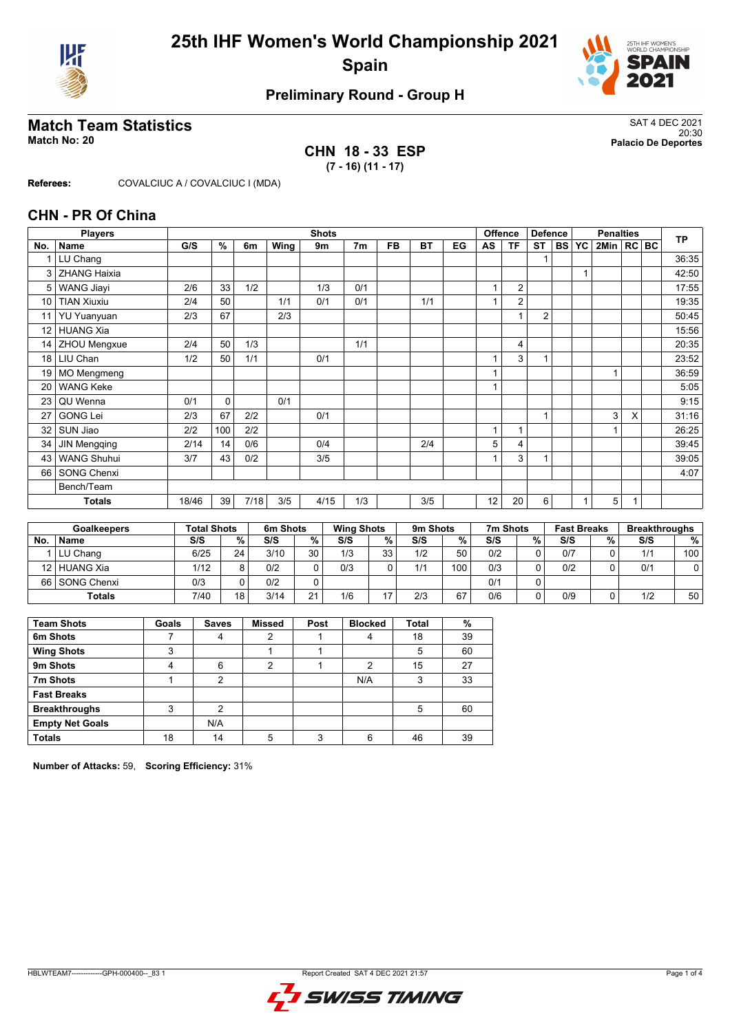



### **Preliminary Round - Group H**

# **Match Team Statistics** SAT 4 DEC 2021

**CHN 18 - 33 ESP (7 - 16) (11 - 17)**

20:30 **Match No: 20 Palacio De Deportes**

**Referees:** COVALCIUC A / COVALCIUC I (MDA)

#### **CHN - PR Of China**

|                 | <b>Players</b>      |       | <b>Shots</b> |      |      |      |                |           |           |    |              | <b>Offence</b><br><b>Defence</b> |                |       | <b>Penalties</b> |              |   |  | <b>TP</b> |
|-----------------|---------------------|-------|--------------|------|------|------|----------------|-----------|-----------|----|--------------|----------------------------------|----------------|-------|------------------|--------------|---|--|-----------|
| No.             | Name                | G/S   | %            | 6m   | Wing | 9m   | 7 <sub>m</sub> | <b>FB</b> | <b>BT</b> | EG | AS           | <b>TF</b>                        | <b>ST</b>      | BS YC |                  | 2Min   RC BC |   |  |           |
| 1               | LU Chang            |       |              |      |      |      |                |           |           |    |              |                                  |                |       |                  |              |   |  | 36:35     |
| 3               | <b>ZHANG Haixia</b> |       |              |      |      |      |                |           |           |    |              |                                  |                |       |                  |              |   |  | 42:50     |
| 5               | <b>WANG Jiayi</b>   | 2/6   | 33           | 1/2  |      | 1/3  | 0/1            |           |           |    | 1            | $\overline{2}$                   |                |       |                  |              |   |  | 17:55     |
| 10              | <b>TIAN Xiuxiu</b>  | 2/4   | 50           |      | 1/1  | 0/1  | 0/1            |           | 1/1       |    |              | $\overline{2}$                   |                |       |                  |              |   |  | 19:35     |
| 11              | <b>YU Yuanyuan</b>  | 2/3   | 67           |      | 2/3  |      |                |           |           |    |              | 1                                | $\overline{2}$ |       |                  |              |   |  | 50:45     |
| 12 <sup>°</sup> | <b>HUANG Xia</b>    |       |              |      |      |      |                |           |           |    |              |                                  |                |       |                  |              |   |  | 15:56     |
| 14 <sup>1</sup> | <b>ZHOU Mengxue</b> | 2/4   | 50           | 1/3  |      |      | 1/1            |           |           |    |              | $\overline{\mathbf{4}}$          |                |       |                  |              |   |  | 20:35     |
| 18              | LIU Chan            | 1/2   | 50           | 1/1  |      | 0/1  |                |           |           |    | 1            | 3                                |                |       |                  |              |   |  | 23:52     |
| 19              | MO Mengmeng         |       |              |      |      |      |                |           |           |    | 1            |                                  |                |       |                  |              |   |  | 36:59     |
| 20              | <b>WANG Keke</b>    |       |              |      |      |      |                |           |           |    | 1            |                                  |                |       |                  |              |   |  | 5:05      |
| 23              | QU Wenna            | 0/1   | 0            |      | 0/1  |      |                |           |           |    |              |                                  |                |       |                  |              |   |  | 9:15      |
| 27              | <b>GONG Lei</b>     | 2/3   | 67           | 2/2  |      | 0/1  |                |           |           |    |              |                                  | 1              |       |                  | 3            | X |  | 31:16     |
| 32              | SUN Jiao            | 2/2   | 100          | 2/2  |      |      |                |           |           |    | $\mathbf{1}$ | 1                                |                |       |                  |              |   |  | 26:25     |
| 34              | <b>JIN Mengqing</b> | 2/14  | 14           | 0/6  |      | 0/4  |                |           | 2/4       |    | 5            | 4                                |                |       |                  |              |   |  | 39:45     |
| 43              | <b>WANG Shuhui</b>  | 3/7   | 43           | 0/2  |      | 3/5  |                |           |           |    |              | 3                                |                |       |                  |              |   |  | 39:05     |
| 66              | <b>SONG Chenxi</b>  |       |              |      |      |      |                |           |           |    |              |                                  |                |       |                  |              |   |  | 4:07      |
|                 | Bench/Team          |       |              |      |      |      |                |           |           |    |              |                                  |                |       |                  |              |   |  |           |
|                 | <b>Totals</b>       | 18/46 | 39           | 7/18 | 3/5  | 4/15 | 1/3            |           | 3/5       |    | 12           | 20                               | 6              |       |                  | 5            | 1 |  |           |

|           | <b>Goalkeepers</b> | <b>Total Shots</b> |              | 6m Shots |    | <b>Wing Shots</b> |                 | 9m Shots |     | 7m Shots |   | <b>Fast Breaks</b> |   | <b>Breakthroughs</b> |     |
|-----------|--------------------|--------------------|--------------|----------|----|-------------------|-----------------|----------|-----|----------|---|--------------------|---|----------------------|-----|
| <b>No</b> | <b>Name</b>        | S/S                | %            | S/S      | %  | S/S               | %⊣              | S/S      | %   | S/S      | % | S/S                | % | S/S                  | %   |
|           | LU Chang           | 6/25               | 24           | 3/10     | 30 | 1/3               | 33 <sub>1</sub> | 1/2      | 50  | 0/2      | 0 | 0/7                |   | 1/1                  | 100 |
|           | 12 HUANG Xia       | 1/12               | <sup>o</sup> | 0/2      |    | 0/3               | ∩               | 1/1      | 100 | 0/3      | 0 | 0/2                |   | 0/1                  |     |
|           | 66 SONG Chenxi     | 0/3                |              | 0/2      |    |                   |                 |          |     | 0/1      | 0 |                    |   |                      |     |
|           | <b>Totals</b>      | 7/40               | 18           | 3/14     | 21 | 1/6               | —               | 2/3      | 67  | 0/6      | 0 | 0/9                |   | 1/2                  | 50  |

| <b>Team Shots</b>      | Goals | <b>Saves</b> | <b>Missed</b> | Post | <b>Blocked</b> | <b>Total</b> | %  |
|------------------------|-------|--------------|---------------|------|----------------|--------------|----|
| 6m Shots               |       | 4            | າ             |      |                | 18           | 39 |
| <b>Wing Shots</b>      | 3     |              |               |      |                | 5            | 60 |
| 9m Shots               |       | 6            | 2             |      | 2              | 15           | 27 |
| 7m Shots               |       | 2            |               |      | N/A            | 3            | 33 |
| <b>Fast Breaks</b>     |       |              |               |      |                |              |    |
| <b>Breakthroughs</b>   | 3     | ∩            |               |      |                | 5            | 60 |
| <b>Empty Net Goals</b> |       | N/A          |               |      |                |              |    |
| <b>Totals</b>          | 18    | 14           |               |      | 6              | 46           | 39 |

**Number of Attacks:** 59, **Scoring Efficiency:** 31%

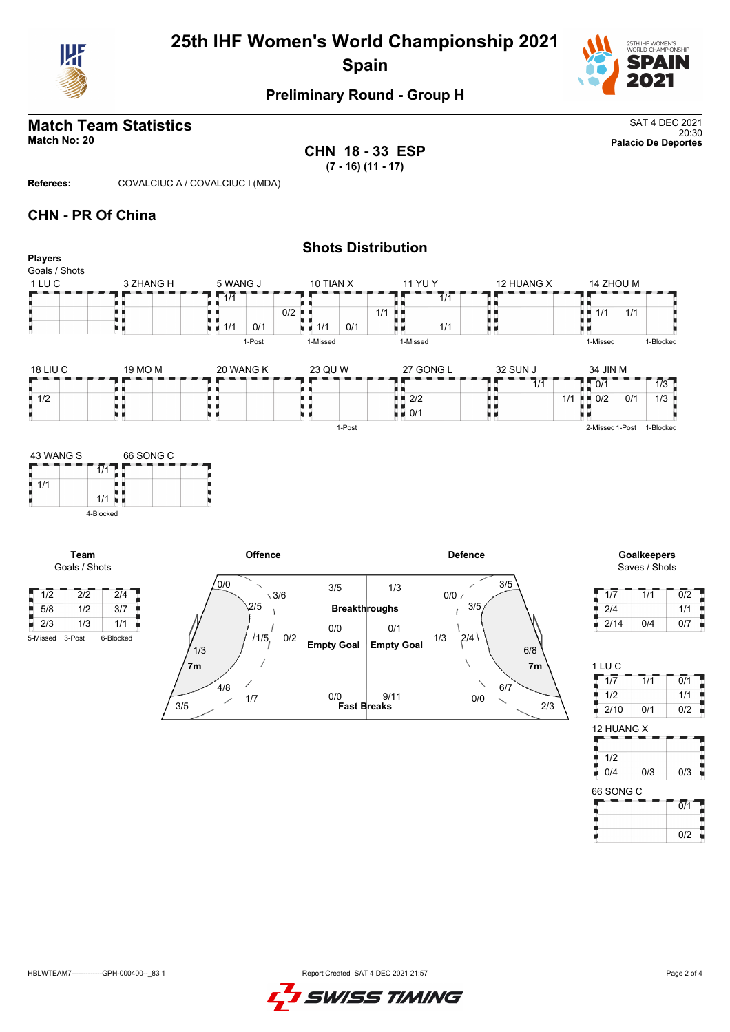



## **Preliminary Round - Group H**

# **Match Team Statistics** SAT 4 DEC 2021

20:30 **Match No: 20 Palacio De Deportes CHN 18 - 33 ESP (7 - 16) (11 - 17)**

**Referees:** COVALCIUC A / COVALCIUC I (MDA)

### **CHN - PR Of China**

| <b>Players</b>                   |                  |                                 |                                 |                      | <b>Shots Distribution</b>         |                             |            |                             |                            |                                   |     |                                                 |
|----------------------------------|------------------|---------------------------------|---------------------------------|----------------------|-----------------------------------|-----------------------------|------------|-----------------------------|----------------------------|-----------------------------------|-----|-------------------------------------------------|
| Goals / Shots                    |                  |                                 |                                 |                      |                                   |                             |            |                             |                            |                                   |     |                                                 |
| 1 LU C                           | 3 ZHANG H        | 5 WANG J                        | 10 TIAN X                       |                      | 11 YU Y                           |                             |            | 12 HUANG X                  |                            | 14 ZHOU M                         |     |                                                 |
|                                  |                  | 1/1                             |                                 |                      |                                   | $\overline{1}/\overline{1}$ |            |                             |                            |                                   |     |                                                 |
|                                  | ш<br>u 1         | . .                             | $0/2$ $\blacksquare$            |                      | 1/1<br>. .                        |                             | . .<br>u 1 |                             |                            | $\blacksquare$ $\blacksquare$ 1/1 | 1/1 |                                                 |
| H.                               | u a              | $\blacksquare$ 1/1<br>0/1       | $\blacksquare$ 1/1              | 0/1                  | uв                                | 1/1                         | u p        |                             |                            |                                   |     |                                                 |
|                                  |                  | 1-Post                          | 1-Missed                        |                      | 1-Missed                          |                             |            |                             |                            | 1-Missed                          |     | 1-Blocked                                       |
| 18 LIU C                         | 19 MO M          | 20 WANG K                       | 23 QU W                         |                      | 27 GONG L                         |                             | 32 SUN J   |                             |                            | 34 JIN M                          |     |                                                 |
|                                  |                  | . .                             |                                 |                      | π.                                |                             | . .        | $\overline{1}/\overline{1}$ | Ţ.                         | $\overline{10/1}$                 |     | 1/3                                             |
| $\frac{1}{2}$ 1/2                | . .              | H H                             | ш.                              |                      | $\blacksquare$ $\blacksquare$ 2/2 |                             | . .        |                             | $1/1$ $\blacksquare$ $0/2$ |                                   | 0/1 | 1/3<br>п                                        |
| н.                               | . .<br>原因        | u u                             | uв                              |                      | $\blacksquare$ $\blacksquare$ 0/1 |                             | . .<br>原则  |                             |                            |                                   |     |                                                 |
|                                  |                  |                                 |                                 | 1-Post               |                                   |                             |            |                             |                            |                                   |     | 2-Missed 1-Post 1-Blocked                       |
| Team                             | 4-Blocked        | Offence                         |                                 |                      |                                   | <b>Defence</b>              |            |                             |                            |                                   |     | Goalkeepers                                     |
| Goals / Shots                    |                  |                                 |                                 |                      |                                   |                             |            |                             |                            |                                   |     | Saves / Shots                                   |
| $\sqrt{1/2}$<br>$\overline{2}/2$ | $\overline{2}/4$ | 0/0<br>$\overline{\phantom{0}}$ | 3/5<br>$\sqrt{3/6}$             |                      | 1/3                               | 0/0/                        | 3/5<br>╱   |                             |                            | 1/7                               |     | $\overline{0/2}$<br>$\overline{1}/\overline{1}$ |
| $\frac{1}{2}$ 5/8<br>1/2         | 3/7              | 2/5                             |                                 | <b>Breakthroughs</b> |                                   |                             | 3/5        |                             |                            | 2/4                               |     | 1/1                                             |
| $\blacksquare$ 2/3<br>1/3        | 1/1              |                                 |                                 |                      |                                   |                             |            |                             |                            | 2/14<br>н                         |     | 0/4<br>0/7                                      |
| 3-Post<br>5-Missed               | 6-Blocked        | /1/5<br>1/3                     | 0/0<br>0/2<br><b>Empty Goal</b> |                      | 0/1<br><b>Empty Goal</b>          | 1/3                         | 2/4        | $6/8$                       |                            |                                   |     |                                                 |
|                                  |                  | 7 <sub>m</sub>                  |                                 |                      |                                   |                             | ∖          | 7 <sub>m</sub>              |                            | 1 LU C                            |     |                                                 |
|                                  |                  | $4/8$                           |                                 |                      |                                   |                             | 6/7        |                             |                            | 1/7                               |     | $\overline{0/1}$<br>1/1                         |
|                                  |                  | 1/7                             | 0/0                             |                      | 9/11                              |                             | 0/0        |                             |                            | 1/2                               |     | 1/1                                             |
|                                  |                  | 3/5                             |                                 | <b>Fast Breaks</b>   |                                   |                             |            | 2/3                         |                            | 2/10<br>U.                        |     | 0/2<br>0/1                                      |



 $\overline{0/1}$ 

٠ ţ.

H

F

0/2

12 HUANG X

66 SONG C

0/4 0/3 0/3

 $\frac{1}{2}$ <br> $\frac{1}{2}$ <br> $\frac{1}{2}$ 

Н

H H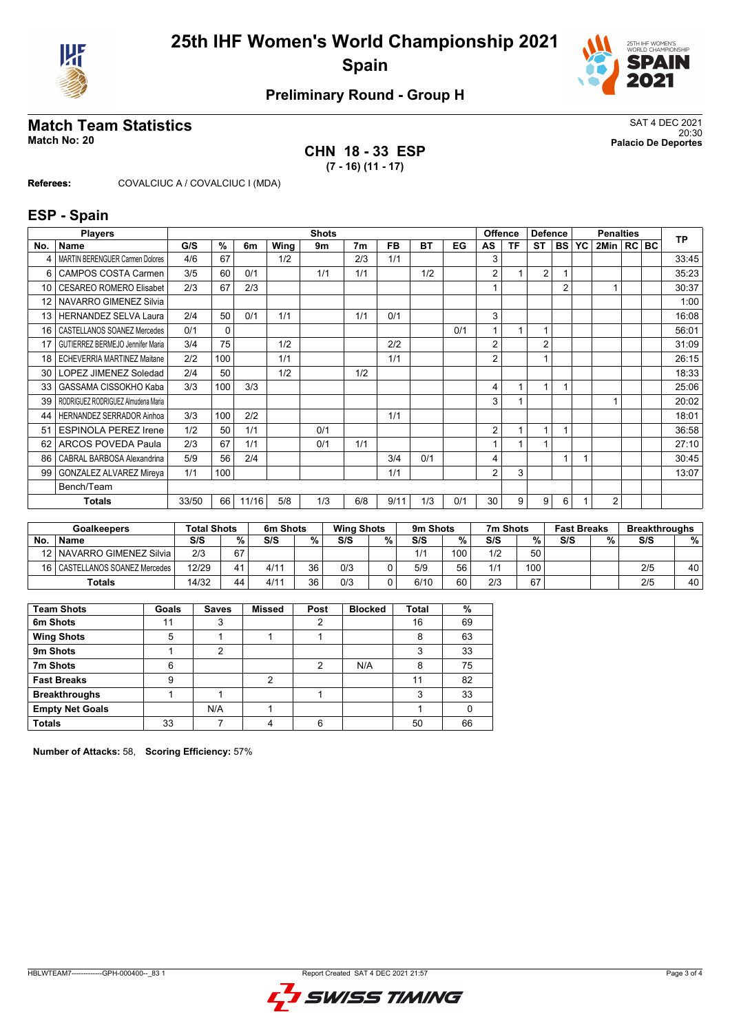



## **Preliminary Round - Group H**

# **Match Team Statistics**<br>Match No: 20<br>Palacio De Deportes

**CHN 18 - 33 ESP (7 - 16) (11 - 17)**

20:30 **Match No: 20 Palacio De Deportes**

**Referees:** COVALCIUC A / COVALCIUC I (MDA)

#### **ESP - Spain**

|     | <b>Players</b>                         |       |              |       |      | <b>Shots</b> |                |           |     |     | <b>Offence</b> |    | <b>Defence</b> |                |    | <b>Penalties</b> |     | <b>TP</b> |
|-----|----------------------------------------|-------|--------------|-------|------|--------------|----------------|-----------|-----|-----|----------------|----|----------------|----------------|----|------------------|-----|-----------|
| No. | <b>Name</b>                            | G/S   | $\%$         | 6m    | Wing | 9m           | 7 <sub>m</sub> | <b>FB</b> | ВT  | EG  | AS             | ΤF | ST             | <b>BS</b>      | YC | 2Min  RC         | BC. |           |
| 4   | <b>MARTIN BERENGUER Carmen Dolores</b> | 4/6   | 67           |       | 1/2  |              | 2/3            | 1/1       |     |     | 3              |    |                |                |    |                  |     | 33:45     |
| 6   | <b>CAMPOS COSTA Carmen</b>             | 3/5   | 60           | 0/1   |      | 1/1          | 1/1            |           | 1/2 |     | 2              |    | $\overline{2}$ |                |    |                  |     | 35:23     |
| 10  | <b>CESAREO ROMERO Elisabet</b>         | 2/3   | 67           | 2/3   |      |              |                |           |     |     |                |    |                | $\overline{2}$ |    |                  |     | 30:37     |
| 12  | NAVARRO GIMENEZ Silvia                 |       |              |       |      |              |                |           |     |     |                |    |                |                |    |                  |     | 1:00      |
| 13  | <b>HERNANDEZ SELVA Laura</b>           | 2/4   | 50           | 0/1   | 1/1  |              | 1/1            | 0/1       |     |     | 3              |    |                |                |    |                  |     | 16:08     |
| 16  | CASTELLANOS SOANEZ Mercedes            | 0/1   | $\mathbf{0}$ |       |      |              |                |           |     | 0/1 |                |    | 1              |                |    |                  |     | 56:01     |
| 17  | GUTIERREZ BERMEJO Jennifer Maria       | 3/4   | 75           |       | 1/2  |              |                | 2/2       |     |     | 2              |    | $\overline{2}$ |                |    |                  |     | 31:09     |
| 18  | <b>ECHEVERRIA MARTINEZ Maitane</b>     | 2/2   | 100          |       | 1/1  |              |                | 1/1       |     |     | $\overline{2}$ |    | 1              |                |    |                  |     | 26:15     |
| 30  | LOPEZ JIMENEZ Soledad                  | 2/4   | 50           |       | 1/2  |              | 1/2            |           |     |     |                |    |                |                |    |                  |     | 18:33     |
| 33  | GASSAMA CISSOKHO Kaba                  | 3/3   | 100          | 3/3   |      |              |                |           |     |     | 4              |    | $\overline{1}$ |                |    |                  |     | 25:06     |
| 39  | RODRIGUEZ RODRIGUEZ Almudena Maria     |       |              |       |      |              |                |           |     |     | 3              |    |                |                |    |                  |     | 20:02     |
| 44  | HERNANDEZ SERRADOR Ainhoa              | 3/3   | 100          | 2/2   |      |              |                | 1/1       |     |     |                |    |                |                |    |                  |     | 18:01     |
| 51  | <b>ESPINOLA PEREZ Irene</b>            | 1/2   | 50           | 1/1   |      | 0/1          |                |           |     |     | 2              |    | 1              |                |    |                  |     | 36:58     |
| 62  | <b>ARCOS POVEDA Paula</b>              | 2/3   | 67           | 1/1   |      | 0/1          | 1/1            |           |     |     |                |    |                |                |    |                  |     | 27:10     |
| 86  | CABRAL BARBOSA Alexandrina             | 5/9   | 56           | 2/4   |      |              |                | 3/4       | 0/1 |     | 4              |    |                |                |    |                  |     | 30:45     |
| 99  | <b>GONZALEZ ALVAREZ Mireya</b>         | 1/1   | 100          |       |      |              |                | 1/1       |     |     | 2              | 3  |                |                |    |                  |     | 13:07     |
|     | Bench/Team                             |       |              |       |      |              |                |           |     |     |                |    |                |                |    |                  |     |           |
|     | <b>Totals</b>                          | 33/50 | 66           | 11/16 | 5/8  | 1/3          | 6/8            | 9/11      | 1/3 | 0/1 | 30             | 9  | 9              | 6              |    | $\overline{2}$   |     |           |

|                 | Goalkeepers                 | <b>Total Shots</b> |    | 6m Shots |    | <b>Wing Shots</b> |   | 9 <sub>m</sub> Shots |     | 7m Shots |      | <b>Fast Breaks</b> |   | <b>Breakthroughs</b> |    |
|-----------------|-----------------------------|--------------------|----|----------|----|-------------------|---|----------------------|-----|----------|------|--------------------|---|----------------------|----|
| <b>No</b>       | <b>Name</b>                 | S/S                | %  | S/S      | %  | S/S               | % | S/S                  | %   | S/S      | %    | S/S                | % | S/S                  | %  |
| 12 I            | NAVARRO GIMENEZ Silvia      | 2/3                | 67 |          |    |                   |   | 1/1                  | 100 | 1/2      | 50   |                    |   |                      |    |
| 16 <sup>1</sup> | CASTELLANOS SOANEZ Mercedes | 12/29              | 41 | 4/11     | 36 | 0/3               |   | 5/9                  | 56  | 1/1      | 100. |                    |   | 2/5                  | 40 |
|                 | <b>Totals</b>               | 14/32              | 44 | 4/11     | 36 | 0/3               |   | 6/10                 | 60  | 2/3      | 67   |                    |   | 2/5                  | 40 |

| <b>Team Shots</b>      | Goals | <b>Saves</b> | <b>Missed</b> | Post | <b>Blocked</b> | Total | %  |
|------------------------|-------|--------------|---------------|------|----------------|-------|----|
| 6m Shots               | 11    | 3            |               | 2    |                | 16    | 69 |
| <b>Wing Shots</b>      | 5     |              |               |      |                | 8     | 63 |
| 9m Shots               |       | 2            |               |      |                |       | 33 |
| 7m Shots               | 6     |              |               | 2    | N/A            | 8     | 75 |
| <b>Fast Breaks</b>     | 9     |              | 2             |      |                | 11    | 82 |
| <b>Breakthroughs</b>   |       |              |               |      |                | ົ     | 33 |
| <b>Empty Net Goals</b> |       | N/A          |               |      |                |       |    |
| <b>Totals</b>          | 33    |              |               | 6    |                | 50    | 66 |

**Number of Attacks:** 58, **Scoring Efficiency:** 57%